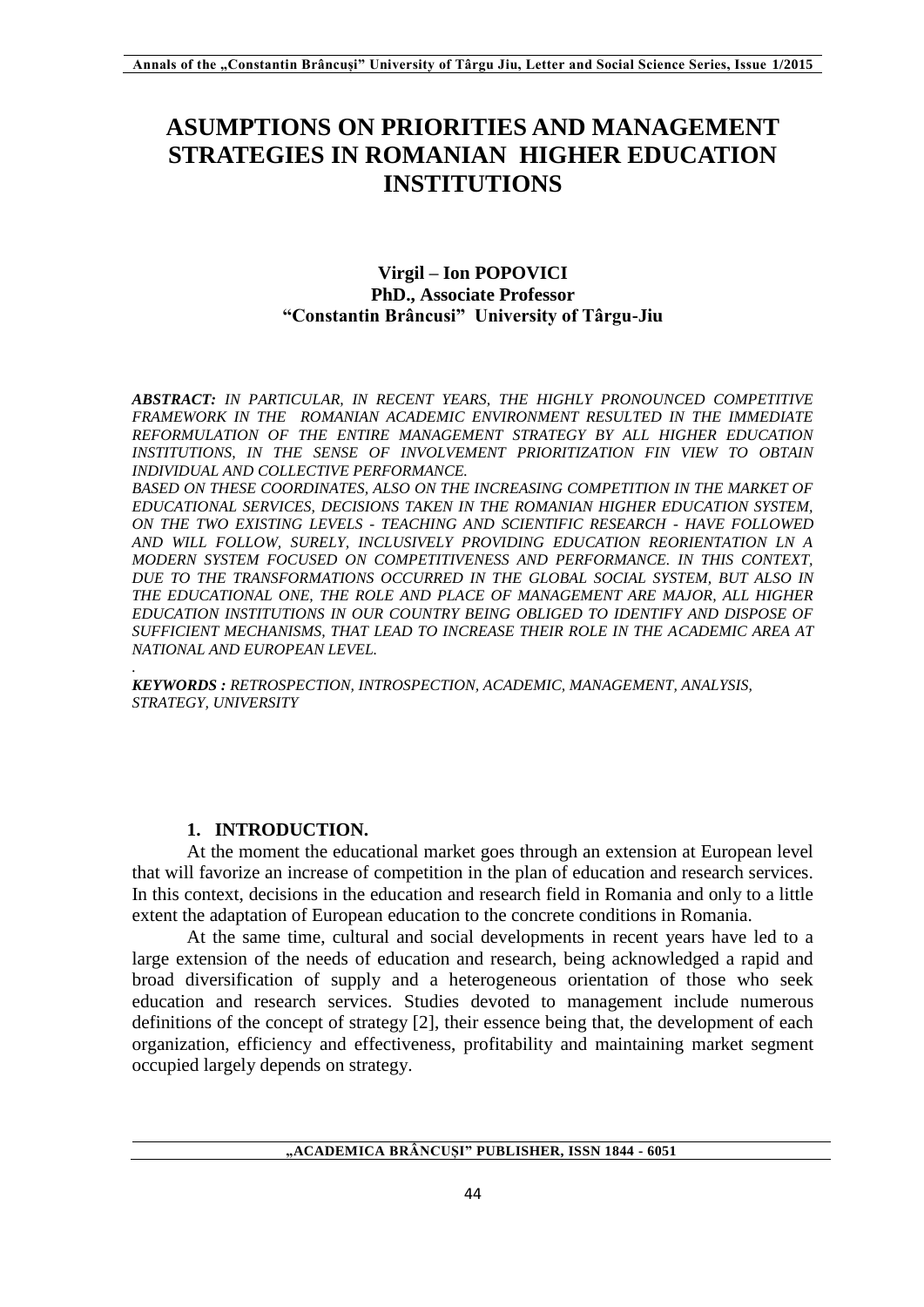# **ASUMPTIONS ON PRIORITIES AND MANAGEMENT STRATEGIES IN ROMANIAN HIGHER EDUCATION INSTITUTIONS**

## **Virgil – Ion POPOVICI PhD., Associate Professor "Constantin Brâncusi" University of Târgu-Jiu**

*ABSTRACT: IN PARTICULAR, IN RECENT YEARS, THE HIGHLY PRONOUNCED COMPETITIVE FRAMEWORK IN THE ROMANIAN ACADEMIC ENVIRONMENT RESULTED IN THE IMMEDIATE REFORMULATION OF THE ENTIRE MANAGEMENT STRATEGY BY ALL HIGHER EDUCATION INSTITUTIONS, IN THE SENSE OF INVOLVEMENT PRIORITIZATION FIN VIEW TO OBTAIN INDIVIDUAL AND COLLECTIVE PERFORMANCE.*

**BASED ON THESE COORDINATES, ALSO ON THE INCREASING COMPETITION IN THE MARKET OF** *EDUCATIONAL SERVICES, DECISIONS TAKEN IN THE ROMANIAN HIGHER EDUCATION SYSTEM, ON THE TWO EXISTING LEVELS - TEACHING AND SCIENTIFIC RESEARCH - HAVE FOLLOWED AND WILL FOLLOW, SURELY, INCLUSIVELY PROVIDING EDUCATION REORIENTATION LN A MODERN SYSTEM FOCUSED ON COMPETITIVENESS AND PERFORMANCE. IN THIS CONTEXT, DUE TO THE TRANSFORMATIONS OCCURRED IN THE GLOBAL SOCIAL SYSTEM, BUT ALSO IN THE EDUCATIONAL ONE, THE ROLE AND PLACE OF MANAGEMENT ARE MAJOR, ALL HIGHER EDUCATION INSTITUTIONS IN OUR COUNTRY BEING OBLIGED TO IDENTIFY AND DISPOSE OF SUFFICIENT MECHANISMS, THAT LEAD TO INCREASE THEIR ROLE IN THE ACADEMIC AREA AT NATIONAL AND EUROPEAN LEVEL.*

*. KEYWORDS : RETROSPECTION, INTROSPECTION, ACADEMIC, MANAGEMENT, ANALYSIS, STRATEGY, UNIVERSITY*

## **1. INTRODUCTION.**

At the moment the educational market goes through an extension at European level that will favorize an increase of competition in the plan of education and research services. In this context, decisions in the education and research field in Romania and only to a little extent the adaptation of European education to the concrete conditions in Romania.

At the same time, cultural and social developments in recent years have led to a large extension of the needs of education and research, being acknowledged a rapid and broad diversification of supply and a heterogeneous orientation of those who seek education and research services. Studies devoted to management include numerous definitions of the concept of strategy [2], their essence being that, the development of each organization, efficiency and effectiveness, profitability and maintaining market segment occupied largely depends on strategy.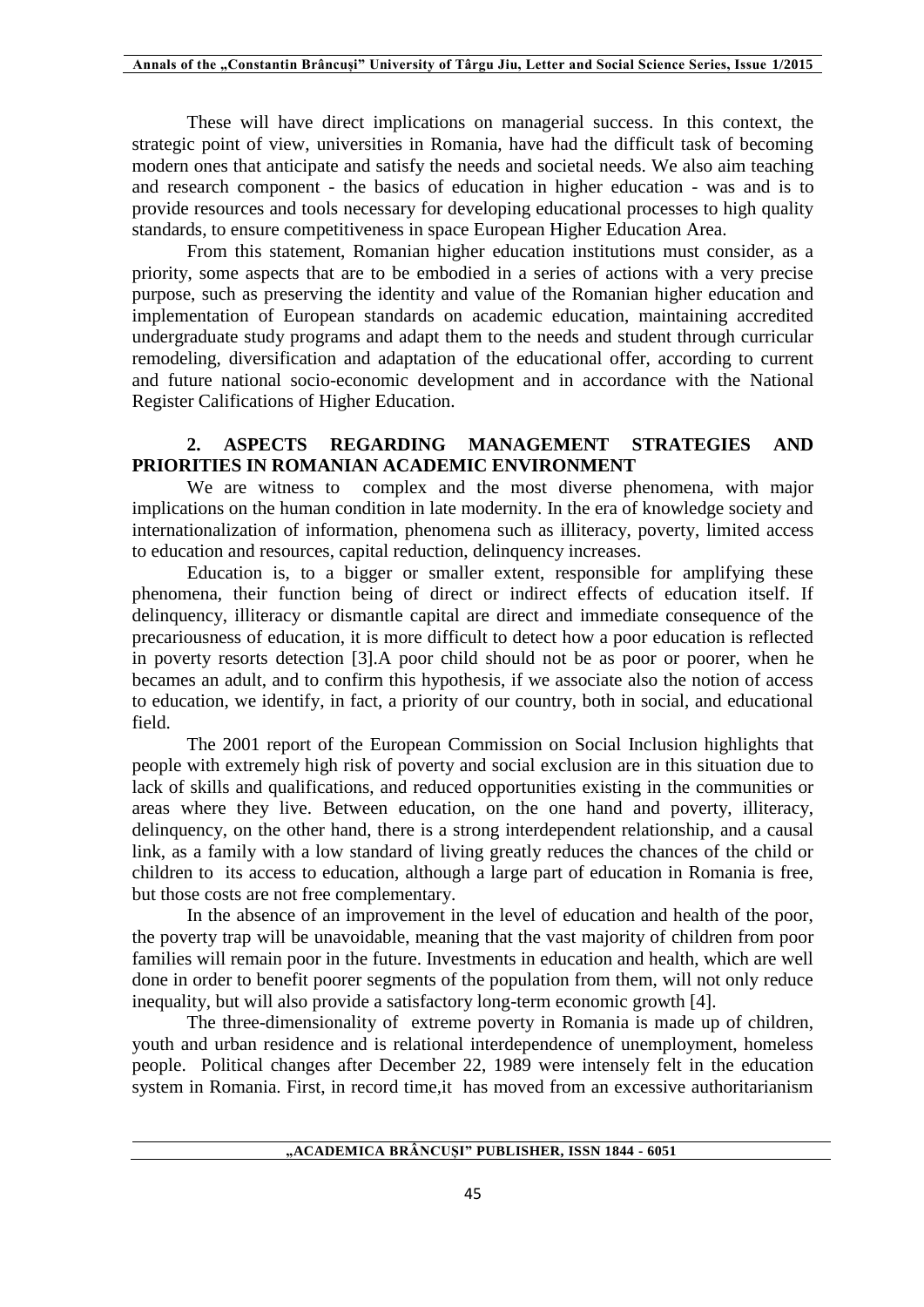These will have direct implications on managerial success. In this context, the strategic point of view, universities in Romania, have had the difficult task of becoming modern ones that anticipate and satisfy the needs and societal needs. We also aim teaching and research component - the basics of education in higher education - was and is to provide resources and tools necessary for developing educational processes to high quality standards, to ensure competitiveness in space European Higher Education Area.

From this statement, Romanian higher education institutions must consider, as a priority, some aspects that are to be embodied in a series of actions with a very precise purpose, such as preserving the identity and value of the Romanian higher education and implementation of European standards on academic education, maintaining accredited undergraduate study programs and adapt them to the needs and student through curricular remodeling, diversification and adaptation of the educational offer, according to current and future national socio-economic development and in accordance with the National Register Califications of Higher Education.

## **2. ASPECTS REGARDING MANAGEMENT STRATEGIES AND PRIORITIES IN ROMANIAN ACADEMIC ENVIRONMENT**

We are witness to complex and the most diverse phenomena, with major implications on the human condition in late modernity. In the era of knowledge society and internationalization of information, phenomena such as illiteracy, poverty, limited access to education and resources, capital reduction, delinquency increases.

Education is, to a bigger or smaller extent, responsible for amplifying these phenomena, their function being of direct or indirect effects of education itself. If delinquency, illiteracy or dismantle capital are direct and immediate consequence of the precariousness of education, it is more difficult to detect how a poor education is reflected in poverty resorts detection [3].A poor child should not be as poor or poorer, when he becames an adult, and to confirm this hypothesis, if we associate also the notion of access to education, we identify, in fact, a priority of our country, both in social, and educational field.

The 2001 report of the European Commission on Social Inclusion highlights that people with extremely high risk of poverty and social exclusion are in this situation due to lack of skills and qualifications, and reduced opportunities existing in the communities or areas where they live. Between education, on the one hand and poverty, illiteracy, delinquency, on the other hand, there is a strong interdependent relationship, and a causal link, as a family with a low standard of living greatly reduces the chances of the child or children to its access to education, although a large part of education in Romania is free, but those costs are not free complementary.

In the absence of an improvement in the level of education and health of the poor, the poverty trap will be unavoidable, meaning that the vast majority of children from poor families will remain poor in the future. Investments in education and health, which are well done in order to benefit poorer segments of the population from them, will not only reduce inequality, but will also provide a satisfactory long-term economic growth [4].

The three-dimensionality of extreme poverty in Romania is made up of children, youth and urban residence and is relational interdependence of unemployment, homeless people. Political changes after December 22, 1989 were intensely felt in the education system in Romania. First, in record time,it has moved from an excessive authoritarianism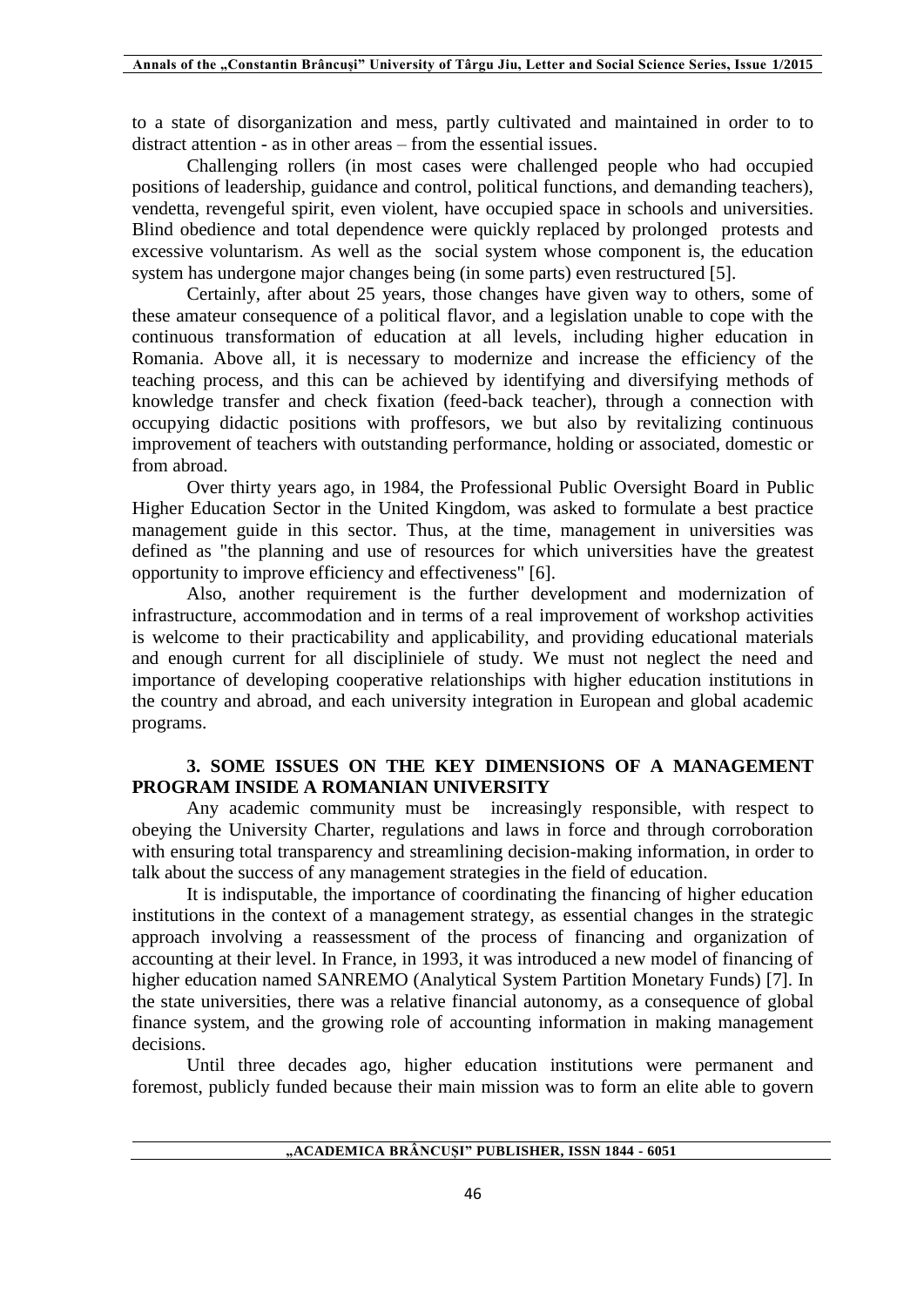to a state of disorganization and mess, partly cultivated and maintained in order to to distract attention - as in other areas – from the essential issues.

Challenging rollers (in most cases were challenged people who had occupied positions of leadership, guidance and control, political functions, and demanding teachers), vendetta, revengeful spirit, even violent, have occupied space in schools and universities. Blind obedience and total dependence were quickly replaced by prolonged protests and excessive voluntarism. As well as the social system whose component is, the education system has undergone major changes being (in some parts) even restructured [5].

Certainly, after about 25 years, those changes have given way to others, some of these amateur consequence of a political flavor, and a legislation unable to cope with the continuous transformation of education at all levels, including higher education in Romania. Above all, it is necessary to modernize and increase the efficiency of the teaching process, and this can be achieved by identifying and diversifying methods of knowledge transfer and check fixation (feed-back teacher), through a connection with occupying didactic positions with proffesors, we but also by revitalizing continuous improvement of teachers with outstanding performance, holding or associated, domestic or from abroad.

Over thirty years ago, in 1984, the Professional Public Oversight Board in Public Higher Education Sector in the United Kingdom, was asked to formulate a best practice management guide in this sector. Thus, at the time, management in universities was defined as "the planning and use of resources for which universities have the greatest opportunity to improve efficiency and effectiveness" [6].

Also, another requirement is the further development and modernization of infrastructure, accommodation and in terms of a real improvement of workshop activities is welcome to their practicability and applicability, and providing educational materials and enough current for all discipliniele of study. We must not neglect the need and importance of developing cooperative relationships with higher education institutions in the country and abroad, and each university integration in European and global academic programs.

## **3. SOME ISSUES ON THE KEY DIMENSIONS OF A MANAGEMENT PROGRAM INSIDE A ROMANIAN UNIVERSITY**

Any academic community must be increasingly responsible, with respect to obeying the University Charter, regulations and laws in force and through corroboration with ensuring total transparency and streamlining decision-making information, in order to talk about the success of any management strategies in the field of education.

It is indisputable, the importance of coordinating the financing of higher education institutions in the context of a management strategy, as essential changes in the strategic approach involving a reassessment of the process of financing and organization of accounting at their level. In France, in 1993, it was introduced a new model of financing of higher education named SANREMO (Analytical System Partition Monetary Funds) [7]. In the state universities, there was a relative financial autonomy, as a consequence of global finance system, and the growing role of accounting information in making management decisions.

Until three decades ago, higher education institutions were permanent and foremost, publicly funded because their main mission was to form an elite able to govern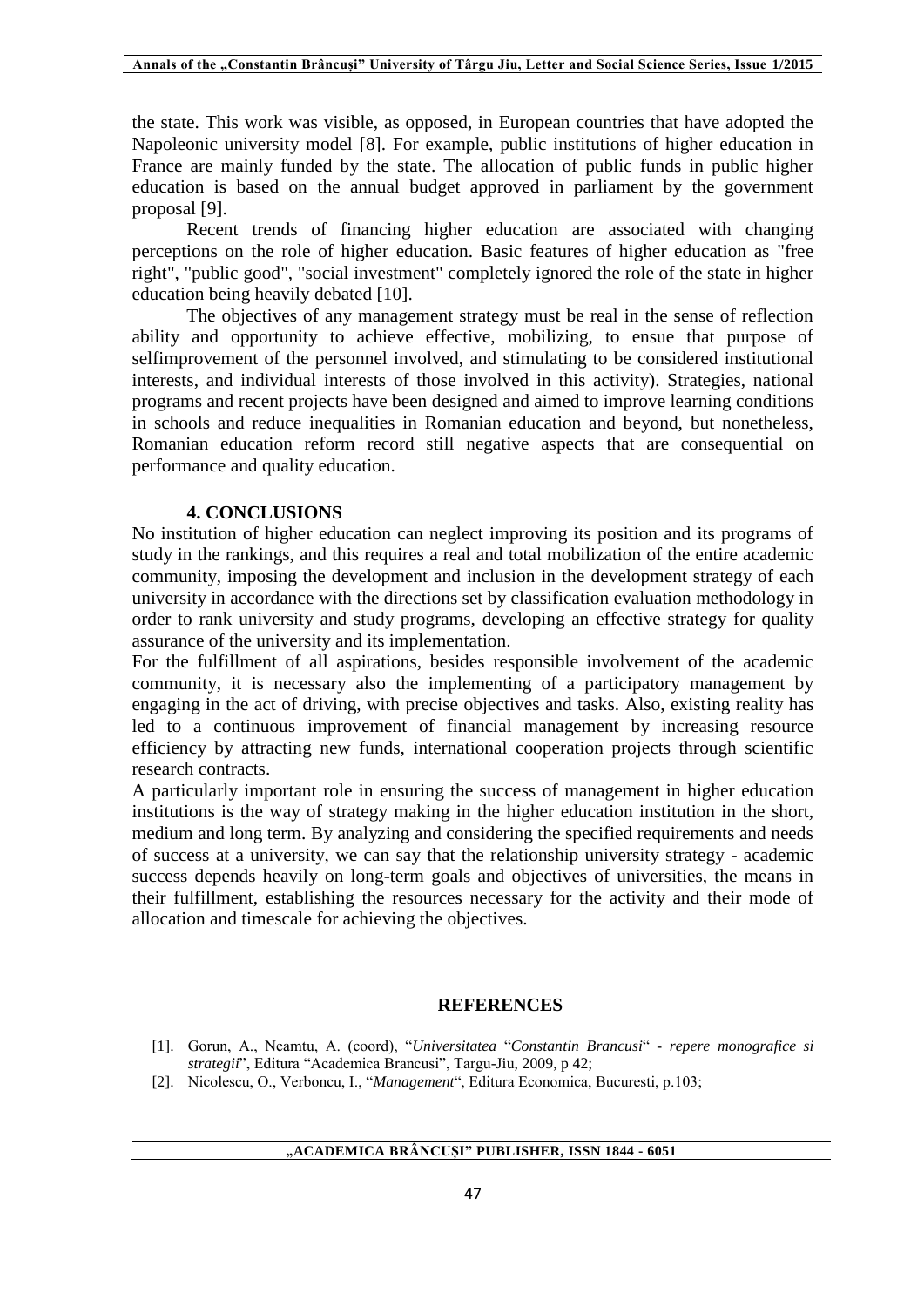the state. This work was visible, as opposed, in European countries that have adopted the Napoleonic university model [8]. For example, public institutions of higher education in France are mainly funded by the state. The allocation of public funds in public higher education is based on the annual budget approved in parliament by the government proposal [9].

Recent trends of financing higher education are associated with changing perceptions on the role of higher education. Basic features of higher education as "free right", "public good", "social investment" completely ignored the role of the state in higher education being heavily debated [10].

The objectives of any management strategy must be real in the sense of reflection ability and opportunity to achieve effective, mobilizing, to ensue that purpose of selfimprovement of the personnel involved, and stimulating to be considered institutional interests, and individual interests of those involved in this activity). Strategies, national programs and recent projects have been designed and aimed to improve learning conditions in schools and reduce inequalities in Romanian education and beyond, but nonetheless, Romanian education reform record still negative aspects that are consequential on performance and quality education.

#### **4. CONCLUSIONS**

No institution of higher education can neglect improving its position and its programs of study in the rankings, and this requires a real and total mobilization of the entire academic community, imposing the development and inclusion in the development strategy of each university in accordance with the directions set by classification evaluation methodology in order to rank university and study programs, developing an effective strategy for quality assurance of the university and its implementation.

For the fulfillment of all aspirations, besides responsible involvement of the academic community, it is necessary also the implementing of a participatory management by engaging in the act of driving, with precise objectives and tasks. Also, existing reality has led to a continuous improvement of financial management by increasing resource efficiency by attracting new funds, international cooperation projects through scientific research contracts.

A particularly important role in ensuring the success of management in higher education institutions is the way of strategy making in the higher education institution in the short, medium and long term. By analyzing and considering the specified requirements and needs of success at a university, we can say that the relationship university strategy - academic success depends heavily on long-term goals and objectives of universities, the means in their fulfillment, establishing the resources necessary for the activity and their mode of allocation and timescale for achieving the objectives.

#### **REFERENCES**

- [1]. Gorun, A., Neamtu, A. (coord), "*Universitatea* "*Constantin Brancusi*" *- repere monografice si strategii*", Editura "Academica Brancusi", Targu-Jiu, 2009, p 42;
- [2]. Nicolescu, O., Verboncu, I., "*Management*", Editura Economica, Bucuresti, p.103;

#### **"ACADEMICA BRÂNCUȘI" PUBLISHER, ISSN 1844 - 6051**